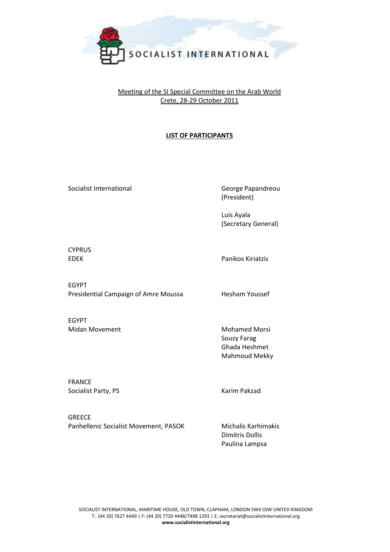

## Meeting of the SI Special Committee on the Arab World Crete, 28-29 October 2011

## **LIST OF PARTICIPANTS**

Socialist International and George Papandreou

(President)

Luis Ayala (Secretary General)

CYPRUS

EDEK Panikos Kiriatzis

EGYPT Presidential Campaign of Amre Moussa Hesham Youssef

EGYPT Midan Movement Mohamed Morsi

Souzy Farag Ghada Heshmet Mahmoud Mekky

FRANCE Socialist Party, PS Karim Pakzad

GREECE Panhellenic Socialist Movement, PASOK Michalis Karhimakis

Dimitris Dollis Paulina Lampsa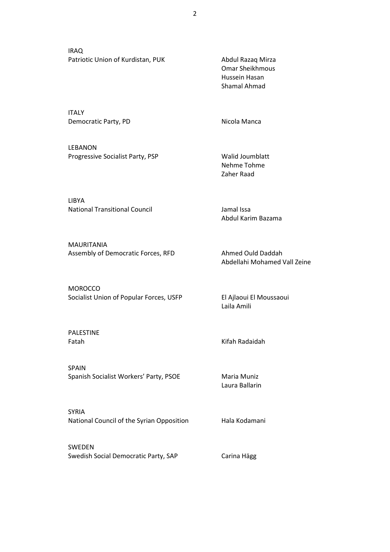IRAQ Patriotic Union of Kurdistan, PUK Abdul Razaq Mirza

ITALY Democratic Party, PD Nicola Manca

LEBANON Progressive Socialist Party, PSP Walid Joumblatt

LIBYA National Transitional Council Jamal Issa

MAURITANIA Assembly of Democratic Forces, RFD Ahmed Ould Daddah

**MOROCCO** Socialist Union of Popular Forces, USFP El Ajlaoui El Moussaoui

PALESTINE

SPAIN Spanish Socialist Workers' Party, PSOE Maria Muniz

SYRIA National Council of the Syrian Opposition Hala Kodamani

SWEDEN Swedish Social Democratic Party, SAP Carina Hägg

Omar Sheikhmous Hussein Hasan Shamal Ahmad

Nehme Tohme Zaher Raad

Abdul Karim Bazama

Abdellahi Mohamed Vall Zeine

Laila Amili

Fatah Kifah Radaidah

Laura Ballarin